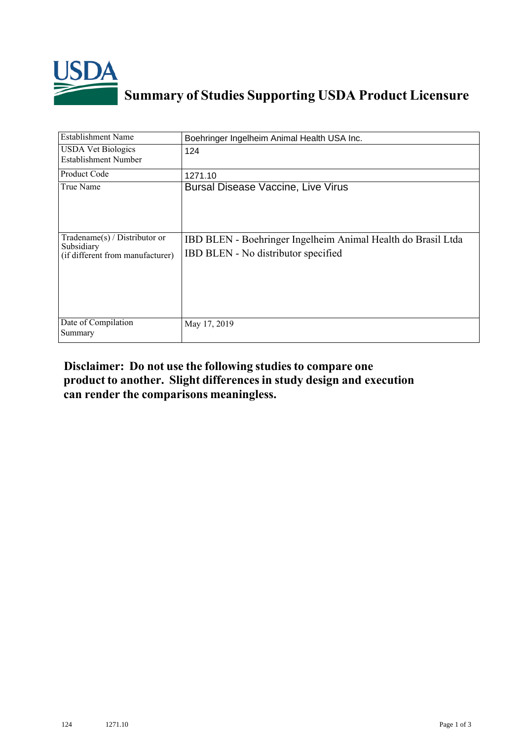

## **Summary of Studies Supporting USDA Product Licensure**

| Establishment Name                                                                 | Boehringer Ingelheim Animal Health USA Inc.                                                         |
|------------------------------------------------------------------------------------|-----------------------------------------------------------------------------------------------------|
| <b>USDA Vet Biologics</b><br>Establishment Number                                  | 124                                                                                                 |
| Product Code                                                                       | 1271.10                                                                                             |
| True Name                                                                          | <b>Bursal Disease Vaccine, Live Virus</b>                                                           |
| Tradename $(s)$ / Distributor or<br>Subsidiary<br>(if different from manufacturer) | IBD BLEN - Boehringer Ingelheim Animal Health do Brasil Ltda<br>IBD BLEN - No distributor specified |
| Date of Compilation<br>Summary                                                     | May 17, 2019                                                                                        |

## **Disclaimer: Do not use the following studiesto compare one product to another. Slight differencesin study design and execution can render the comparisons meaningless.**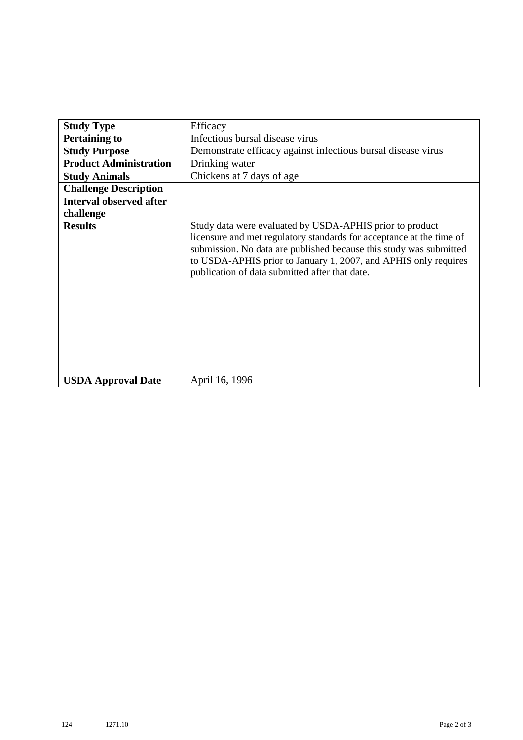| <b>Study Type</b>              | Efficacy                                                                                                                                                                                                                                                                                                                    |
|--------------------------------|-----------------------------------------------------------------------------------------------------------------------------------------------------------------------------------------------------------------------------------------------------------------------------------------------------------------------------|
| <b>Pertaining to</b>           | Infectious bursal disease virus                                                                                                                                                                                                                                                                                             |
| <b>Study Purpose</b>           | Demonstrate efficacy against infectious bursal disease virus                                                                                                                                                                                                                                                                |
| <b>Product Administration</b>  | Drinking water                                                                                                                                                                                                                                                                                                              |
| <b>Study Animals</b>           | Chickens at 7 days of age                                                                                                                                                                                                                                                                                                   |
| <b>Challenge Description</b>   |                                                                                                                                                                                                                                                                                                                             |
| <b>Interval observed after</b> |                                                                                                                                                                                                                                                                                                                             |
| challenge                      |                                                                                                                                                                                                                                                                                                                             |
| <b>Results</b>                 | Study data were evaluated by USDA-APHIS prior to product<br>licensure and met regulatory standards for acceptance at the time of<br>submission. No data are published because this study was submitted<br>to USDA-APHIS prior to January 1, 2007, and APHIS only requires<br>publication of data submitted after that date. |
| <b>USDA Approval Date</b>      | April 16, 1996                                                                                                                                                                                                                                                                                                              |